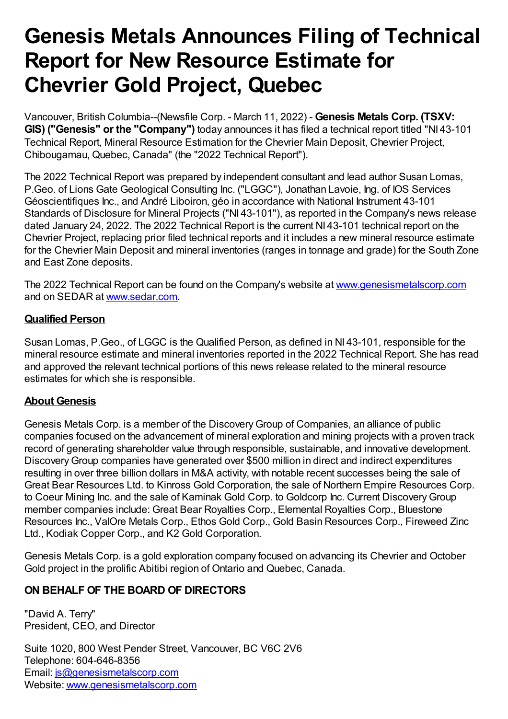## **Genesis Metals Announces Filing of Technical Report for New Resource Estimate for Chevrier Gold Project, Quebec**

Vancouver, British Columbia--(Newsfile Corp. - March 11, 2022) - **Genesis Metals Corp. (TSXV: GIS) ("Genesis" or the "Company")** today announces it has filed a technical report titled "NI 43-101 Technical Report, Mineral Resource Estimation for the Chevrier Main Deposit, Chevrier Project, Chibougamau, Quebec, Canada" (the "2022 Technical Report").

The 2022 Technical Report was prepared by independent consultant and lead author Susan Lomas, P.Geo. of Lions Gate Geological Consulting Inc. ("LGGC"), Jonathan Lavoie, Ing. of IOS Services Géoscientifiques Inc., and André Liboiron, géo in accordance with National Instrument 43-101 Standards of Disclosure for Mineral Projects ("NI 43-101"), as reported in the Company's news release dated January 24, 2022. The 2022 Technical Report is the current NI 43-101 technical report on the Chevrier Project, replacing prior filed technical reports and it includes a new mineral resource estimate for the Chevrier Main Deposit and mineral inventories (ranges in tonnage and grade) for the South Zone and East Zone deposits.

The 2022 Technical Report can be found on the Company's website at [www.genesismetalscorp.com](https://www.newsfilecorp.com/redirect/8A1OwtQy4v) and on SEDAR at [www.sedar.com.](https://www.newsfilecorp.com/redirect/y3x5vUJkoL)

## **Qualified Person**

Susan Lomas, P.Geo., of LGGC is the Qualified Person, as defined in NI 43-101, responsible for the mineral resource estimate and mineral inventories reported in the 2022 Technical Report. She has read and approved the relevant technical portions of this news release related to the mineral resource estimates for which she is responsible.

## **About Genesis**

Genesis Metals Corp. is a member of the DiscoveryGroup of Companies, an alliance of public companies focused on the advancement of mineral exploration and mining projects with a proven track record of generating shareholder value through responsible, sustainable, and innovative development. DiscoveryGroup companies have generated over \$500 million in direct and indirect expenditures resulting in over three billion dollars in M&A activity, with notable recent successes being the sale of Great Bear Resources Ltd. to Kinross Gold Corporation, the sale of Northern Empire Resources Corp. to Coeur Mining Inc. and the sale of Kaminak Gold Corp. to Goldcorp Inc. Current Discovery Group member companies include: Great Bear Royalties Corp., Elemental Royalties Corp., Bluestone Resources Inc., ValOre Metals Corp., Ethos Gold Corp., Gold Basin Resources Corp., Fireweed Zinc Ltd., Kodiak Copper Corp., and K2 Gold Corporation.

Genesis Metals Corp. is a gold exploration company focused on advancing its Chevrier and October Gold project in the prolific Abitibi region of Ontario and Quebec, Canada.

## **ON BEHALF OF THE BOARD OF DIRECTORS**

"David A. Terry" President, CEO, and Director

Suite 1020, 800 West Pender Street, Vancouver, BC V6C 2V6 Telephone: 604-646-8356 Email: [js@genesismetalscorp.com](mailto:js@genesismetalscorp.com) Website: [www.genesismetalscorp.com](https://www.newsfilecorp.com/redirect/1zOvQFGeNn)